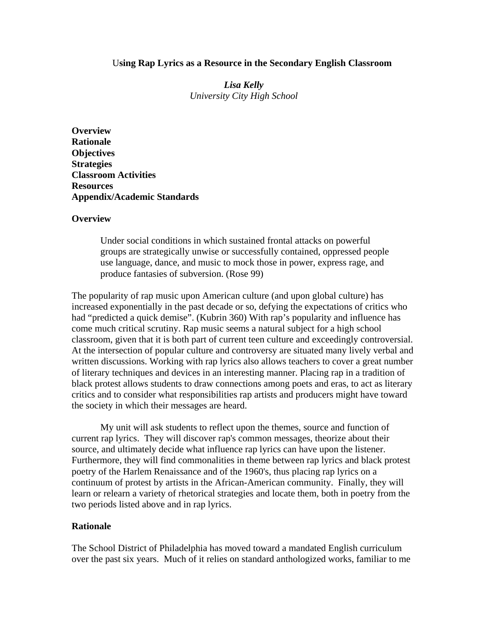#### U**sing Rap Lyrics as a Resource in the Secondary English Classroom**

*Lisa Kelly University City High School*

**Overview Rationale Objectives Strategies Classroom Activities Resources Appendix/Academic Standards**

#### **Overview**

Under social conditions in which sustained frontal attacks on powerful groups are strategically unwise or successfully contained, oppressed people use language, dance, and music to mock those in power, express rage, and produce fantasies of subversion. (Rose 99)

The popularity of rap music upon American culture (and upon global culture) has increased exponentially in the past decade or so, defying the expectations of critics who had "predicted a quick demise". (Kubrin 360) With rap's popularity and influence has come much critical scrutiny. Rap music seems a natural subject for a high school classroom, given that it is both part of current teen culture and exceedingly controversial. At the intersection of popular culture and controversy are situated many lively verbal and written discussions. Working with rap lyrics also allows teachers to cover a great number of literary techniques and devices in an interesting manner. Placing rap in a tradition of black protest allows students to draw connections among poets and eras, to act as literary critics and to consider what responsibilities rap artists and producers might have toward the society in which their messages are heard.

My unit will ask students to reflect upon the themes, source and function of current rap lyrics. They will discover rap's common messages, theorize about their source, and ultimately decide what influence rap lyrics can have upon the listener. Furthermore, they will find commonalities in theme between rap lyrics and black protest poetry of the Harlem Renaissance and of the 1960's, thus placing rap lyrics on a continuum of protest by artists in the African-American community. Finally, they will learn or relearn a variety of rhetorical strategies and locate them, both in poetry from the two periods listed above and in rap lyrics.

#### **Rationale**

The School District of Philadelphia has moved toward a mandated English curriculum over the past six years. Much of it relies on standard anthologized works, familiar to me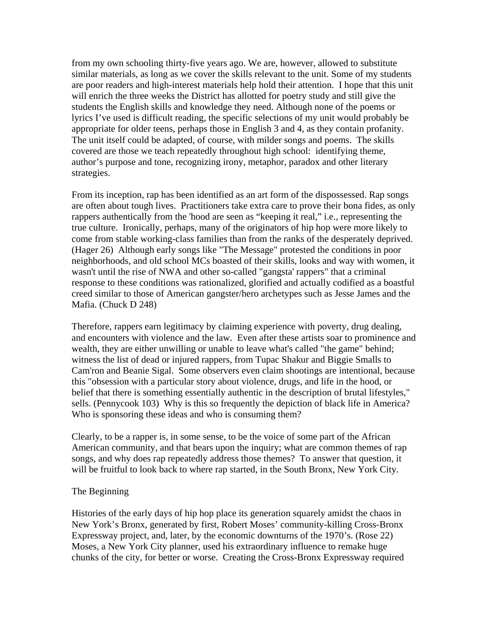from my own schooling thirty-five years ago. We are, however, allowed to substitute similar materials, as long as we cover the skills relevant to the unit. Some of my students are poor readers and high-interest materials help hold their attention. I hope that this unit will enrich the three weeks the District has allotted for poetry study and still give the students the English skills and knowledge they need. Although none of the poems or lyrics I've used is difficult reading, the specific selections of my unit would probably be appropriate for older teens, perhaps those in English 3 and 4, as they contain profanity. The unit itself could be adapted, of course, with milder songs and poems. The skills covered are those we teach repeatedly throughout high school: identifying theme, author's purpose and tone, recognizing irony, metaphor, paradox and other literary strategies.

From its inception, rap has been identified as an art form of the dispossessed. Rap songs are often about tough lives. Practitioners take extra care to prove their bona fides, as only rappers authentically from the 'hood are seen as "keeping it real," i.e., representing the true culture. Ironically, perhaps, many of the originators of hip hop were more likely to come from stable working-class families than from the ranks of the desperately deprived. (Hager 26) Although early songs like "The Message" protested the conditions in poor neighborhoods, and old school MCs boasted of their skills, looks and way with women, it wasn't until the rise of NWA and other so-called "gangsta' rappers" that a criminal response to these conditions was rationalized, glorified and actually codified as a boastful creed similar to those of American gangster/hero archetypes such as Jesse James and the Mafia. (Chuck D 248)

Therefore, rappers earn legitimacy by claiming experience with poverty, drug dealing, and encounters with violence and the law. Even after these artists soar to prominence and wealth, they are either unwilling or unable to leave what's called "the game" behind; witness the list of dead or injured rappers, from Tupac Shakur and Biggie Smalls to Cam'ron and Beanie Sigal. Some observers even claim shootings are intentional, because this "obsession with a particular story about violence, drugs, and life in the hood, or belief that there is something essentially authentic in the description of brutal lifestyles," sells. (Pennycook 103) Why is this so frequently the depiction of black life in America? Who is sponsoring these ideas and who is consuming them?

Clearly, to be a rapper is, in some sense, to be the voice of some part of the African American community, and that bears upon the inquiry; what are common themes of rap songs, and why does rap repeatedly address those themes? To answer that question, it will be fruitful to look back to where rap started, in the South Bronx, New York City.

#### The Beginning

Histories of the early days of hip hop place its generation squarely amidst the chaos in New York's Bronx, generated by first, Robert Moses' community-killing Cross-Bronx Expressway project, and, later, by the economic downturns of the 1970's. (Rose 22) Moses, a New York City planner, used his extraordinary influence to remake huge chunks of the city, for better or worse. Creating the Cross-Bronx Expressway required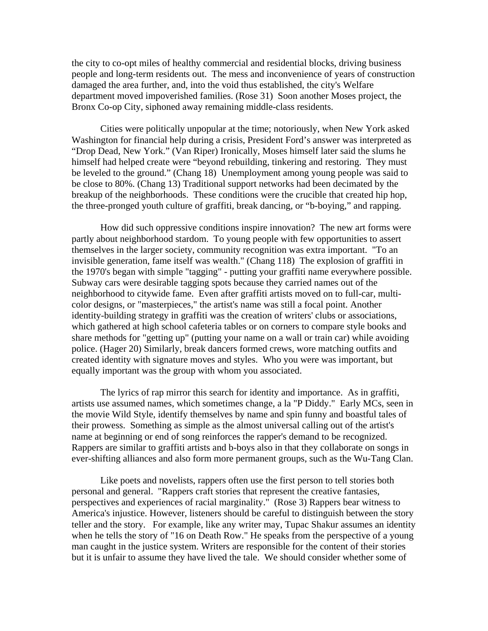the city to co-opt miles of healthy commercial and residential blocks, driving business people and long-term residents out. The mess and inconvenience of years of construction damaged the area further, and, into the void thus established, the city's Welfare department moved impoverished families. (Rose 31) Soon another Moses project, the Bronx Co-op City, siphoned away remaining middle-class residents.

 Cities were politically unpopular at the time; notoriously, when New York asked Washington for financial help during a crisis, President Ford's answer was interpreted as "Drop Dead, New York." (Van Riper) Ironically, Moses himself later said the slums he himself had helped create were "beyond rebuilding, tinkering and restoring. They must be leveled to the ground." (Chang 18) Unemployment among young people was said to be close to 80%. (Chang 13) Traditional support networks had been decimated by the breakup of the neighborhoods. These conditions were the crucible that created hip hop, the three-pronged youth culture of graffiti, break dancing, or "b-boying," and rapping.

 How did such oppressive conditions inspire innovation? The new art forms were partly about neighborhood stardom. To young people with few opportunities to assert themselves in the larger society, community recognition was extra important. "To an invisible generation, fame itself was wealth." (Chang 118) The explosion of graffiti in the 1970's began with simple "tagging" - putting your graffiti name everywhere possible. Subway cars were desirable tagging spots because they carried names out of the neighborhood to citywide fame. Even after graffiti artists moved on to full-car, multicolor designs, or "masterpieces," the artist's name was still a focal point. Another identity-building strategy in graffiti was the creation of writers' clubs or associations, which gathered at high school cafeteria tables or on corners to compare style books and share methods for "getting up" (putting your name on a wall or train car) while avoiding police. (Hager 20) Similarly, break dancers formed crews, wore matching outfits and created identity with signature moves and styles. Who you were was important, but equally important was the group with whom you associated.

 The lyrics of rap mirror this search for identity and importance. As in graffiti, artists use assumed names, which sometimes change, a la "P Diddy." Early MCs, seen in the movie Wild Style, identify themselves by name and spin funny and boastful tales of their prowess. Something as simple as the almost universal calling out of the artist's name at beginning or end of song reinforces the rapper's demand to be recognized. Rappers are similar to graffiti artists and b-boys also in that they collaborate on songs in ever-shifting alliances and also form more permanent groups, such as the Wu-Tang Clan.

 Like poets and novelists, rappers often use the first person to tell stories both personal and general. "Rappers craft stories that represent the creative fantasies, perspectives and experiences of racial marginality." (Rose 3) Rappers bear witness to America's injustice. However, listeners should be careful to distinguish between the story teller and the story. For example, like any writer may, Tupac Shakur assumes an identity when he tells the story of "16 on Death Row." He speaks from the perspective of a young man caught in the justice system. Writers are responsible for the content of their stories but it is unfair to assume they have lived the tale. We should consider whether some of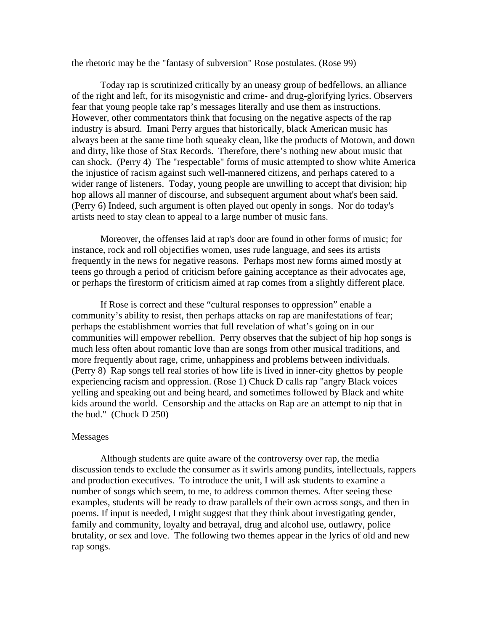the rhetoric may be the "fantasy of subversion" Rose postulates. (Rose 99)

 Today rap is scrutinized critically by an uneasy group of bedfellows, an alliance of the right and left, for its misogynistic and crime- and drug-glorifying lyrics. Observers fear that young people take rap's messages literally and use them as instructions. However, other commentators think that focusing on the negative aspects of the rap industry is absurd. Imani Perry argues that historically, black American music has always been at the same time both squeaky clean, like the products of Motown, and down and dirty, like those of Stax Records. Therefore, there's nothing new about music that can shock. (Perry 4) The "respectable" forms of music attempted to show white America the injustice of racism against such well-mannered citizens, and perhaps catered to a wider range of listeners. Today, young people are unwilling to accept that division; hip hop allows all manner of discourse, and subsequent argument about what's been said. (Perry 6) Indeed, such argument is often played out openly in songs. Nor do today's artists need to stay clean to appeal to a large number of music fans.

 Moreover, the offenses laid at rap's door are found in other forms of music; for instance, rock and roll objectifies women, uses rude language, and sees its artists frequently in the news for negative reasons. Perhaps most new forms aimed mostly at teens go through a period of criticism before gaining acceptance as their advocates age, or perhaps the firestorm of criticism aimed at rap comes from a slightly different place.

 If Rose is correct and these "cultural responses to oppression" enable a community's ability to resist, then perhaps attacks on rap are manifestations of fear; perhaps the establishment worries that full revelation of what's going on in our communities will empower rebellion. Perry observes that the subject of hip hop songs is much less often about romantic love than are songs from other musical traditions, and more frequently about rage, crime, unhappiness and problems between individuals. (Perry 8) Rap songs tell real stories of how life is lived in inner-city ghettos by people experiencing racism and oppression. (Rose 1) Chuck D calls rap "angry Black voices yelling and speaking out and being heard, and sometimes followed by Black and white kids around the world. Censorship and the attacks on Rap are an attempt to nip that in the bud." (Chuck D 250)

#### Messages

Although students are quite aware of the controversy over rap, the media discussion tends to exclude the consumer as it swirls among pundits, intellectuals, rappers and production executives. To introduce the unit, I will ask students to examine a number of songs which seem, to me, to address common themes. After seeing these examples, students will be ready to draw parallels of their own across songs, and then in poems. If input is needed, I might suggest that they think about investigating gender, family and community, loyalty and betrayal, drug and alcohol use, outlawry, police brutality, or sex and love. The following two themes appear in the lyrics of old and new rap songs.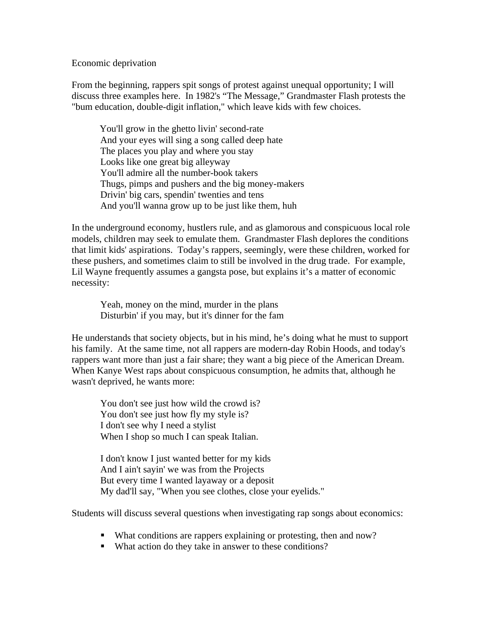### Economic deprivation

From the beginning, rappers spit songs of protest against unequal opportunity; I will discuss three examples here. In 1982's "The Message," Grandmaster Flash protests the "bum education, double-digit inflation," which leave kids with few choices.

You'll grow in the ghetto livin' second-rate And your eyes will sing a song called deep hate The places you play and where you stay Looks like one great big alleyway You'll admire all the number-book takers Thugs, pimps and pushers and the big money-makers Drivin' big cars, spendin' twenties and tens And you'll wanna grow up to be just like them, huh

In the underground economy, hustlers rule, and as glamorous and conspicuous local role models, children may seek to emulate them. Grandmaster Flash deplores the conditions that limit kids' aspirations. Today's rappers, seemingly, were these children, worked for these pushers, and sometimes claim to still be involved in the drug trade. For example, Lil Wayne frequently assumes a gangsta pose, but explains it's a matter of economic necessity:

Yeah, money on the mind, murder in the plans Disturbin' if you may, but it's dinner for the fam

He understands that society objects, but in his mind, he's doing what he must to support his family. At the same time, not all rappers are modern-day Robin Hoods, and today's rappers want more than just a fair share; they want a big piece of the American Dream. When Kanye West raps about conspicuous consumption, he admits that, although he wasn't deprived, he wants more:

You don't see just how wild the crowd is? You don't see just how fly my style is? I don't see why I need a stylist When I shop so much I can speak Italian.

I don't know I just wanted better for my kids And I ain't sayin' we was from the Projects But every time I wanted layaway or a deposit My dad'll say, "When you see clothes, close your eyelids."

Students will discuss several questions when investigating rap songs about economics:

- What conditions are rappers explaining or protesting, then and now?
- What action do they take in answer to these conditions?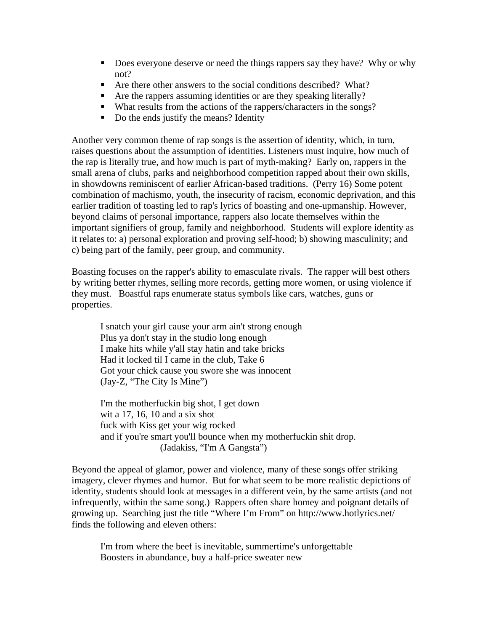- Does everyone deserve or need the things rappers say they have? Why or why not?
- Are there other answers to the social conditions described? What?
- Are the rappers assuming identities or are they speaking literally?
- What results from the actions of the rappers/characters in the songs?
- Do the ends justify the means? Identity

Another very common theme of rap songs is the assertion of identity, which, in turn, raises questions about the assumption of identities. Listeners must inquire, how much of the rap is literally true, and how much is part of myth-making? Early on, rappers in the small arena of clubs, parks and neighborhood competition rapped about their own skills, in showdowns reminiscent of earlier African-based traditions. (Perry 16) Some potent combination of machismo, youth, the insecurity of racism, economic deprivation, and this earlier tradition of toasting led to rap's lyrics of boasting and one-upmanship. However, beyond claims of personal importance, rappers also locate themselves within the important signifiers of group, family and neighborhood. Students will explore identity as it relates to: a) personal exploration and proving self-hood; b) showing masculinity; and c) being part of the family, peer group, and community.

Boasting focuses on the rapper's ability to emasculate rivals. The rapper will best others by writing better rhymes, selling more records, getting more women, or using violence if they must. Boastful raps enumerate status symbols like cars, watches, guns or properties.

I snatch your girl cause your arm ain't strong enough Plus ya don't stay in the studio long enough I make hits while y'all stay hatin and take bricks Had it locked til I came in the club, Take 6 Got your chick cause you swore she was innocent (Jay-Z, "The City Is Mine")

I'm the motherfuckin big shot, I get down wit a 17, 16, 10 and a six shot fuck with Kiss get your wig rocked and if you're smart you'll bounce when my motherfuckin shit drop. (Jadakiss, "I'm A Gangsta")

Beyond the appeal of glamor, power and violence, many of these songs offer striking imagery, clever rhymes and humor. But for what seem to be more realistic depictions of identity, students should look at messages in a different vein, by the same artists (and not infrequently, within the same song.) Rappers often share homey and poignant details of growing up. Searching just the title "Where I'm From" on http://www.hotlyrics.net/ finds the following and eleven others:

I'm from where the beef is inevitable, summertime's unforgettable Boosters in abundance, buy a half-price sweater new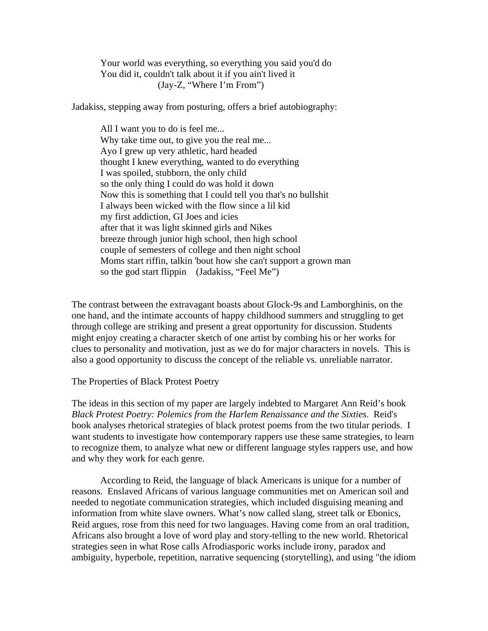Your world was everything, so everything you said you'd do You did it, couldn't talk about it if you ain't lived it (Jay-Z, "Where I'm From")

Jadakiss, stepping away from posturing, offers a brief autobiography:

All I want you to do is feel me... Why take time out, to give you the real me... Ayo I grew up very athletic, hard headed thought I knew everything, wanted to do everything I was spoiled, stubborn, the only child so the only thing I could do was hold it down Now this is something that I could tell you that's no bullshit I always been wicked with the flow since a lil kid my first addiction, GI Joes and icies after that it was light skinned girls and Nikes breeze through junior high school, then high school couple of semesters of college and then night school Moms start riffin, talkin 'bout how she can't support a grown man so the god start flippin (Jadakiss, "Feel Me")

The contrast between the extravagant boasts about Glock-9s and Lamborghinis, on the one hand, and the intimate accounts of happy childhood summers and struggling to get through college are striking and present a great opportunity for discussion. Students might enjoy creating a character sketch of one artist by combing his or her works for clues to personality and motivation, just as we do for major characters in novels. This is also a good opportunity to discuss the concept of the reliable vs. unreliable narrator.

The Properties of Black Protest Poetry

The ideas in this section of my paper are largely indebted to Margaret Ann Reid's book *Black Protest Poetry: Polemics from the Harlem Renaissance and the Sixties*. Reid's book analyses rhetorical strategies of black protest poems from the two titular periods. I want students to investigate how contemporary rappers use these same strategies, to learn to recognize them, to analyze what new or different language styles rappers use, and how and why they work for each genre.

 According to Reid, the language of black Americans is unique for a number of reasons. Enslaved Africans of various language communities met on American soil and needed to negotiate communication strategies, which included disguising meaning and information from white slave owners. What's now called slang, street talk or Ebonics, Reid argues, rose from this need for two languages. Having come from an oral tradition, Africans also brought a love of word play and story-telling to the new world. Rhetorical strategies seen in what Rose calls Afrodiasporic works include irony, paradox and ambiguity, hyperbole, repetition, narrative sequencing (storytelling), and using "the idiom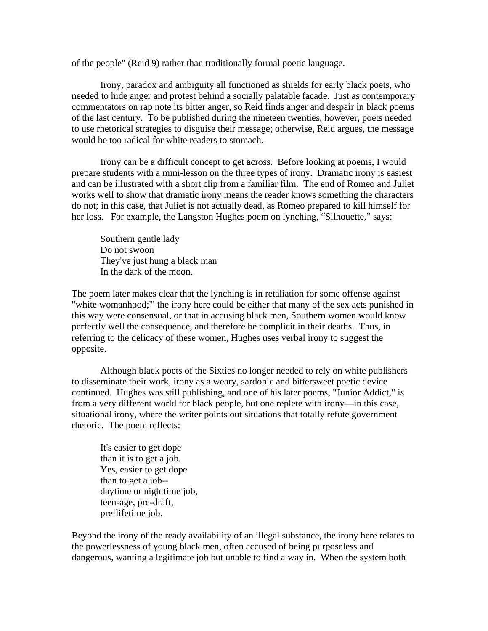of the people" (Reid 9) rather than traditionally formal poetic language.

 Irony, paradox and ambiguity all functioned as shields for early black poets, who needed to hide anger and protest behind a socially palatable facade. Just as contemporary commentators on rap note its bitter anger, so Reid finds anger and despair in black poems of the last century. To be published during the nineteen twenties, however, poets needed to use rhetorical strategies to disguise their message; otherwise, Reid argues, the message would be too radical for white readers to stomach.

 Irony can be a difficult concept to get across. Before looking at poems, I would prepare students with a mini-lesson on the three types of irony. Dramatic irony is easiest and can be illustrated with a short clip from a familiar film. The end of Romeo and Juliet works well to show that dramatic irony means the reader knows something the characters do not; in this case, that Juliet is not actually dead, as Romeo prepared to kill himself for her loss. For example, the Langston Hughes poem on lynching, "Silhouette," says:

Southern gentle lady Do not swoon They've just hung a black man In the dark of the moon.

The poem later makes clear that the lynching is in retaliation for some offense against "white womanhood;'" the irony here could be either that many of the sex acts punished in this way were consensual, or that in accusing black men, Southern women would know perfectly well the consequence, and therefore be complicit in their deaths. Thus, in referring to the delicacy of these women, Hughes uses verbal irony to suggest the opposite.

 Although black poets of the Sixties no longer needed to rely on white publishers to disseminate their work, irony as a weary, sardonic and bittersweet poetic device continued. Hughes was still publishing, and one of his later poems, "Junior Addict," is from a very different world for black people, but one replete with irony—in this case, situational irony, where the writer points out situations that totally refute government rhetoric. The poem reflects:

It's easier to get dope than it is to get a job. Yes, easier to get dope than to get a job- daytime or nighttime job, teen-age, pre-draft, pre-lifetime job.

Beyond the irony of the ready availability of an illegal substance, the irony here relates to the powerlessness of young black men, often accused of being purposeless and dangerous, wanting a legitimate job but unable to find a way in. When the system both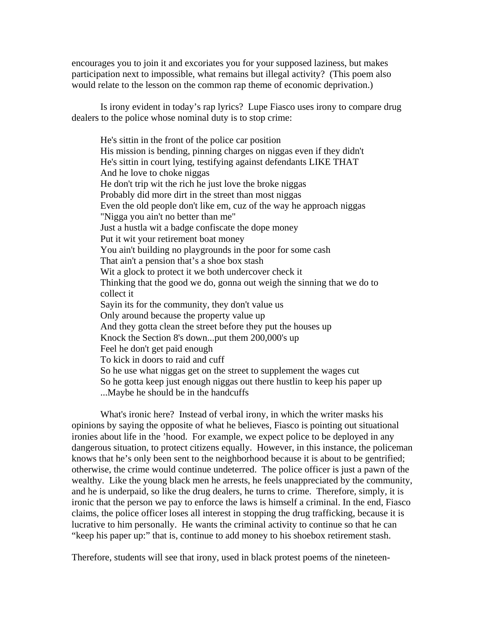encourages you to join it and excoriates you for your supposed laziness, but makes participation next to impossible, what remains but illegal activity? (This poem also would relate to the lesson on the common rap theme of economic deprivation.)

 Is irony evident in today's rap lyrics? Lupe Fiasco uses irony to compare drug dealers to the police whose nominal duty is to stop crime:

He's sittin in the front of the police car position His mission is bending, pinning charges on niggas even if they didn't He's sittin in court lying, testifying against defendants LIKE THAT And he love to choke niggas He don't trip wit the rich he just love the broke niggas Probably did more dirt in the street than most niggas Even the old people don't like em, cuz of the way he approach niggas "Nigga you ain't no better than me" Just a hustla wit a badge confiscate the dope money Put it wit your retirement boat money You ain't building no playgrounds in the poor for some cash That ain't a pension that's a shoe box stash Wit a glock to protect it we both undercover check it Thinking that the good we do, gonna out weigh the sinning that we do to collect it Sayin its for the community, they don't value us Only around because the property value up And they gotta clean the street before they put the houses up Knock the Section 8's down...put them 200,000's up Feel he don't get paid enough To kick in doors to raid and cuff So he use what niggas get on the street to supplement the wages cut So he gotta keep just enough niggas out there hustlin to keep his paper up ...Maybe he should be in the handcuffs

 What's ironic here? Instead of verbal irony, in which the writer masks his opinions by saying the opposite of what he believes, Fiasco is pointing out situational ironies about life in the 'hood. For example, we expect police to be deployed in any dangerous situation, to protect citizens equally. However, in this instance, the policeman knows that he's only been sent to the neighborhood because it is about to be gentrified; otherwise, the crime would continue undeterred. The police officer is just a pawn of the wealthy. Like the young black men he arrests, he feels unappreciated by the community, and he is underpaid, so like the drug dealers, he turns to crime. Therefore, simply, it is ironic that the person we pay to enforce the laws is himself a criminal. In the end, Fiasco claims, the police officer loses all interest in stopping the drug trafficking, because it is lucrative to him personally. He wants the criminal activity to continue so that he can "keep his paper up:" that is, continue to add money to his shoebox retirement stash.

Therefore, students will see that irony, used in black protest poems of the nineteen-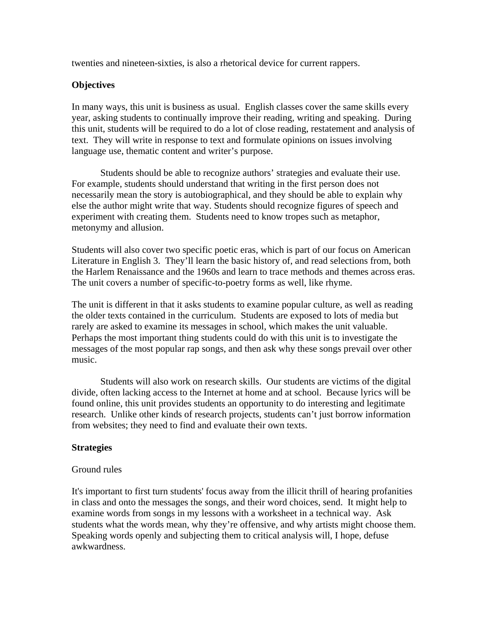twenties and nineteen-sixties, is also a rhetorical device for current rappers.

## **Objectives**

In many ways, this unit is business as usual. English classes cover the same skills every year, asking students to continually improve their reading, writing and speaking. During this unit, students will be required to do a lot of close reading, restatement and analysis of text. They will write in response to text and formulate opinions on issues involving language use, thematic content and writer's purpose.

Students should be able to recognize authors' strategies and evaluate their use. For example, students should understand that writing in the first person does not necessarily mean the story is autobiographical, and they should be able to explain why else the author might write that way. Students should recognize figures of speech and experiment with creating them. Students need to know tropes such as metaphor, metonymy and allusion.

Students will also cover two specific poetic eras, which is part of our focus on American Literature in English 3. They'll learn the basic history of, and read selections from, both the Harlem Renaissance and the 1960s and learn to trace methods and themes across eras. The unit covers a number of specific-to-poetry forms as well, like rhyme.

The unit is different in that it asks students to examine popular culture, as well as reading the older texts contained in the curriculum. Students are exposed to lots of media but rarely are asked to examine its messages in school, which makes the unit valuable. Perhaps the most important thing students could do with this unit is to investigate the messages of the most popular rap songs, and then ask why these songs prevail over other music.

Students will also work on research skills. Our students are victims of the digital divide, often lacking access to the Internet at home and at school. Because lyrics will be found online, this unit provides students an opportunity to do interesting and legitimate research. Unlike other kinds of research projects, students can't just borrow information from websites; they need to find and evaluate their own texts.

## **Strategies**

## Ground rules

It's important to first turn students' focus away from the illicit thrill of hearing profanities in class and onto the messages the songs, and their word choices, send. It might help to examine words from songs in my lessons with a worksheet in a technical way. Ask students what the words mean, why they're offensive, and why artists might choose them. Speaking words openly and subjecting them to critical analysis will, I hope, defuse awkwardness.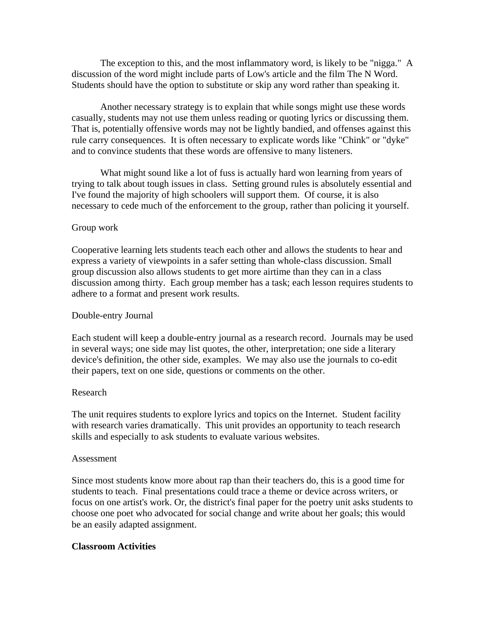The exception to this, and the most inflammatory word, is likely to be "nigga." A discussion of the word might include parts of Low's article and the film The N Word. Students should have the option to substitute or skip any word rather than speaking it.

 Another necessary strategy is to explain that while songs might use these words casually, students may not use them unless reading or quoting lyrics or discussing them. That is, potentially offensive words may not be lightly bandied, and offenses against this rule carry consequences. It is often necessary to explicate words like "Chink" or "dyke" and to convince students that these words are offensive to many listeners.

What might sound like a lot of fuss is actually hard won learning from years of trying to talk about tough issues in class. Setting ground rules is absolutely essential and I've found the majority of high schoolers will support them. Of course, it is also necessary to cede much of the enforcement to the group, rather than policing it yourself.

## Group work

Cooperative learning lets students teach each other and allows the students to hear and express a variety of viewpoints in a safer setting than whole-class discussion. Small group discussion also allows students to get more airtime than they can in a class discussion among thirty. Each group member has a task; each lesson requires students to adhere to a format and present work results.

## Double-entry Journal

Each student will keep a double-entry journal as a research record. Journals may be used in several ways; one side may list quotes, the other, interpretation; one side a literary device's definition, the other side, examples. We may also use the journals to co-edit their papers, text on one side, questions or comments on the other.

## Research

The unit requires students to explore lyrics and topics on the Internet. Student facility with research varies dramatically. This unit provides an opportunity to teach research skills and especially to ask students to evaluate various websites.

#### Assessment

Since most students know more about rap than their teachers do, this is a good time for students to teach. Final presentations could trace a theme or device across writers, or focus on one artist's work. Or, the district's final paper for the poetry unit asks students to choose one poet who advocated for social change and write about her goals; this would be an easily adapted assignment.

## **Classroom Activities**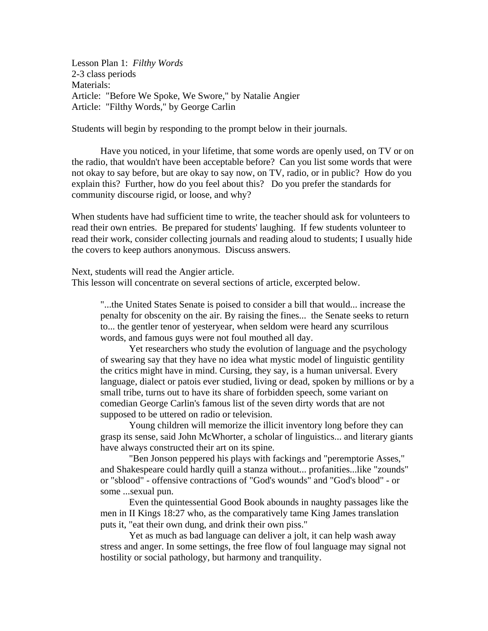Lesson Plan 1: *Filthy Words* 2-3 class periods Materials: Article: "Before We Spoke, We Swore," by Natalie Angier Article: "Filthy Words," by George Carlin

Students will begin by responding to the prompt below in their journals.

 Have you noticed, in your lifetime, that some words are openly used, on TV or on the radio, that wouldn't have been acceptable before? Can you list some words that were not okay to say before, but are okay to say now, on TV, radio, or in public? How do you explain this? Further, how do you feel about this? Do you prefer the standards for community discourse rigid, or loose, and why?

When students have had sufficient time to write, the teacher should ask for volunteers to read their own entries. Be prepared for students' laughing. If few students volunteer to read their work, consider collecting journals and reading aloud to students; I usually hide the covers to keep authors anonymous. Discuss answers.

Next, students will read the Angier article.

This lesson will concentrate on several sections of article, excerpted below.

"...the United States Senate is poised to consider a bill that would... increase the penalty for obscenity on the air. By raising the fines... the Senate seeks to return to... the gentler tenor of yesteryear, when seldom were heard any scurrilous words, and famous guys were not foul mouthed all day.

 Yet researchers who study the evolution of language and the psychology of swearing say that they have no idea what mystic model of linguistic gentility the critics might have in mind. Cursing, they say, is a human universal. Every language, dialect or patois ever studied, living or dead, spoken by millions or by a small tribe, turns out to have its share of forbidden speech, some variant on comedian George Carlin's famous list of the seven dirty words that are not supposed to be uttered on radio or television.

 Young children will memorize the illicit inventory long before they can grasp its sense, said John McWhorter, a scholar of linguistics... and literary giants have always constructed their art on its spine.

 "Ben Jonson peppered his plays with fackings and "peremptorie Asses," and Shakespeare could hardly quill a stanza without... profanities...like "zounds" or "sblood" - offensive contractions of "God's wounds" and "God's blood" - or some ...sexual pun.

 Even the quintessential Good Book abounds in naughty passages like the men in II Kings 18:27 who, as the comparatively tame King James translation puts it, "eat their own dung, and drink their own piss."

 Yet as much as bad language can deliver a jolt, it can help wash away stress and anger. In some settings, the free flow of foul language may signal not hostility or social pathology, but harmony and tranquility.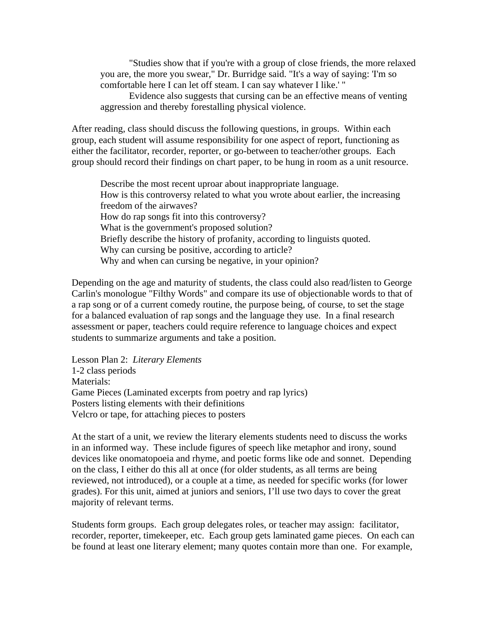"Studies show that if you're with a group of close friends, the more relaxed you are, the more you swear," Dr. Burridge said. "It's a way of saying: 'I'm so comfortable here I can let off steam. I can say whatever I like.' "

 Evidence also suggests that cursing can be an effective means of venting aggression and thereby forestalling physical violence.

After reading, class should discuss the following questions, in groups. Within each group, each student will assume responsibility for one aspect of report, functioning as either the facilitator, recorder, reporter, or go-between to teacher/other groups. Each group should record their findings on chart paper, to be hung in room as a unit resource.

 Describe the most recent uproar about inappropriate language. How is this controversy related to what you wrote about earlier, the increasing freedom of the airwaves? How do rap songs fit into this controversy? What is the government's proposed solution? Briefly describe the history of profanity, according to linguists quoted. Why can cursing be positive, according to article? Why and when can cursing be negative, in your opinion?

Depending on the age and maturity of students, the class could also read/listen to George Carlin's monologue "Filthy Words" and compare its use of objectionable words to that of a rap song or of a current comedy routine, the purpose being, of course, to set the stage for a balanced evaluation of rap songs and the language they use. In a final research assessment or paper, teachers could require reference to language choices and expect students to summarize arguments and take a position.

Lesson Plan 2: *Literary Elements* 1-2 class periods Materials: Game Pieces (Laminated excerpts from poetry and rap lyrics) Posters listing elements with their definitions Velcro or tape, for attaching pieces to posters

At the start of a unit, we review the literary elements students need to discuss the works in an informed way. These include figures of speech like metaphor and irony, sound devices like onomatopoeia and rhyme, and poetic forms like ode and sonnet. Depending on the class, I either do this all at once (for older students, as all terms are being reviewed, not introduced), or a couple at a time, as needed for specific works (for lower grades). For this unit, aimed at juniors and seniors, I'll use two days to cover the great majority of relevant terms.

Students form groups. Each group delegates roles, or teacher may assign: facilitator, recorder, reporter, timekeeper, etc. Each group gets laminated game pieces. On each can be found at least one literary element; many quotes contain more than one. For example,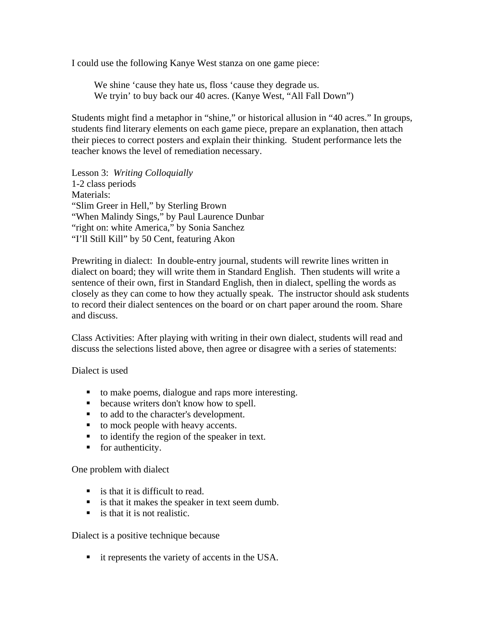I could use the following Kanye West stanza on one game piece:

We shine 'cause they hate us, floss 'cause they degrade us. We tryin' to buy back our 40 acres. (Kanye West, "All Fall Down")

Students might find a metaphor in "shine," or historical allusion in "40 acres." In groups, students find literary elements on each game piece, prepare an explanation, then attach their pieces to correct posters and explain their thinking. Student performance lets the teacher knows the level of remediation necessary.

Lesson 3: *Writing Colloquially* 1-2 class periods Materials: "Slim Greer in Hell," by Sterling Brown "When Malindy Sings," by Paul Laurence Dunbar "right on: white America," by Sonia Sanchez "I'll Still Kill" by 50 Cent, featuring Akon

Prewriting in dialect: In double-entry journal, students will rewrite lines written in dialect on board; they will write them in Standard English. Then students will write a sentence of their own, first in Standard English, then in dialect, spelling the words as closely as they can come to how they actually speak. The instructor should ask students to record their dialect sentences on the board or on chart paper around the room. Share and discuss.

Class Activities: After playing with writing in their own dialect, students will read and discuss the selections listed above, then agree or disagree with a series of statements:

Dialect is used

- to make poems, dialogue and raps more interesting.
- **because writers don't know how to spell.**
- to add to the character's development.
- to mock people with heavy accents.
- $\blacksquare$  to identify the region of the speaker in text.
- **for authenticity.**

One problem with dialect

- is that it is difficult to read.
- is that it makes the speaker in text seem dumb.
- $\blacksquare$  is that it is not realistic.

Dialect is a positive technique because

■ it represents the variety of accents in the USA.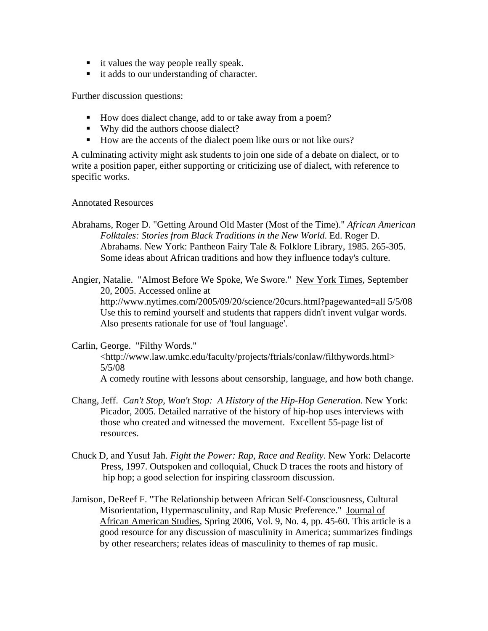- it values the way people really speak.
- it adds to our understanding of character.

Further discussion questions:

- How does dialect change, add to or take away from a poem?
- Why did the authors choose dialect?
- How are the accents of the dialect poem like ours or not like ours?

A culminating activity might ask students to join one side of a debate on dialect, or to write a position paper, either supporting or criticizing use of dialect, with reference to specific works.

#### Annotated Resources

Abrahams, Roger D. "Getting Around Old Master (Most of the Time)." *African American Folktales: Stories from Black Traditions in the New World*. Ed. Roger D. Abrahams. New York: Pantheon Fairy Tale & Folklore Library, 1985. 265-305. Some ideas about African traditions and how they influence today's culture.

Angier, Natalie. "Almost Before We Spoke, We Swore." New York Times, September 20, 2005. Accessed online at http://www.nytimes.com/2005/09/20/science/20curs.html?pagewanted=all 5/5/08 Use this to remind yourself and students that rappers didn't invent vulgar words. Also presents rationale for use of 'foul language'.

Carlin, George. "Filthy Words."

<http://www.law.umkc.edu/faculty/projects/ftrials/conlaw/filthywords.html> 5/5/08

A comedy routine with lessons about censorship, language, and how both change.

- Chang, Jeff. *Can't Stop, Won't Stop: A History of the Hip-Hop Generation*. New York: Picador, 2005. Detailed narrative of the history of hip-hop uses interviews with those who created and witnessed the movement. Excellent 55-page list of resources.
- Chuck D, and Yusuf Jah. *Fight the Power: Rap, Race and Reality*. New York: Delacorte Press, 1997. Outspoken and colloquial, Chuck D traces the roots and history of hip hop; a good selection for inspiring classroom discussion.
- Jamison, DeReef F. "The Relationship between African Self-Consciousness, Cultural Misorientation, Hypermasculinity, and Rap Music Preference." Journal of African American Studies, Spring 2006, Vol. 9, No. 4, pp. 45-60. This article is a good resource for any discussion of masculinity in America; summarizes findings by other researchers; relates ideas of masculinity to themes of rap music.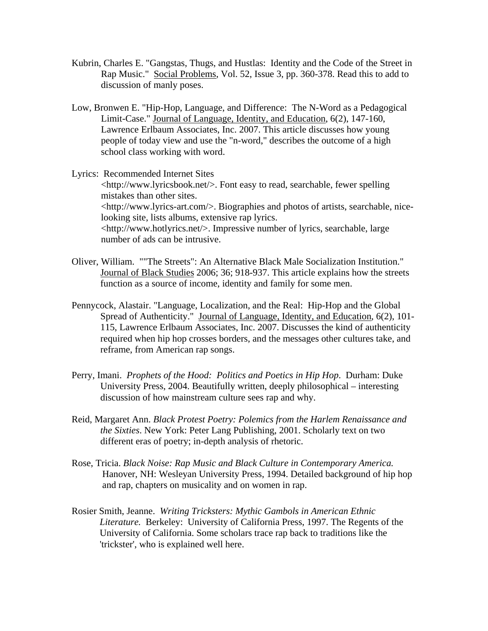- Kubrin, Charles E. "Gangstas, Thugs, and Hustlas: Identity and the Code of the Street in Rap Music." Social Problems, Vol. 52, Issue 3, pp. 360-378. Read this to add to discussion of manly poses.
- Low, Bronwen E. "Hip-Hop, Language, and Difference: The N-Word as a Pedagogical Limit-Case." Journal of Language, Identity, and Education, 6(2), 147-160, Lawrence Erlbaum Associates, Inc. 2007. This article discusses how young people of today view and use the "n-word," describes the outcome of a high school class working with word.

Lyrics: Recommended Internet Sites <http://www.lyricsbook.net/>. Font easy to read, searchable, fewer spelling mistakes than other sites. <http://www.lyrics-art.com/>. Biographies and photos of artists, searchable, nicelooking site, lists albums, extensive rap lyrics. <http://www.hotlyrics.net/>. Impressive number of lyrics, searchable, large number of ads can be intrusive.

- Oliver, William. ""The Streets": An Alternative Black Male Socialization Institution." Journal of Black Studies 2006; 36; 918-937. This article explains how the streets function as a source of income, identity and family for some men.
- Pennycock, Alastair. "Language, Localization, and the Real: Hip-Hop and the Global Spread of Authenticity." Journal of Language, Identity, and Education, 6(2), 101- 115, Lawrence Erlbaum Associates, Inc. 2007. Discusses the kind of authenticity required when hip hop crosses borders, and the messages other cultures take, and reframe, from American rap songs.
- Perry, Imani. *Prophets of the Hood: Politics and Poetics in Hip Hop*. Durham: Duke University Press, 2004. Beautifully written, deeply philosophical – interesting discussion of how mainstream culture sees rap and why.
- Reid, Margaret Ann. *Black Protest Poetry: Polemics from the Harlem Renaissance and the Sixties*. New York: Peter Lang Publishing, 2001. Scholarly text on two different eras of poetry; in-depth analysis of rhetoric.
- Rose, Tricia. *Black Noise: Rap Music and Black Culture in Contemporary America.* Hanover, NH: Wesleyan University Press, 1994. Detailed background of hip hop and rap, chapters on musicality and on women in rap.
- Rosier Smith, Jeanne. *Writing Tricksters: Mythic Gambols in American Ethnic Literature.* Berkeley: University of California Press, 1997. The Regents of the University of California. Some scholars trace rap back to traditions like the 'trickster', who is explained well here.